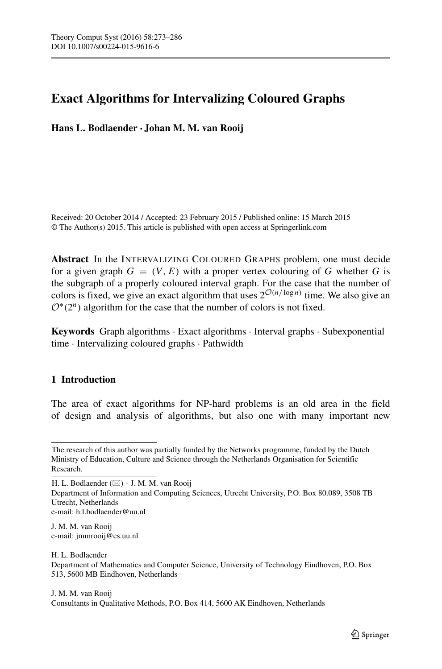# **Exact Algorithms for Intervalizing Coloured Graphs**

**Hans L. Bodlaender · Johan M. M. van Rooij**

Received: 20 October 2014 / Accepted: 23 February 2015 / Published online: 15 March 2015 © The Author(s) 2015. This article is published with open access at Springerlink.com

**Abstract** In the INTERVALIZING COLOURED GRAPHS problem, one must decide for a given graph  $G = (V, E)$  with a proper vertex colouring of G whether G is the subgraph of a properly coloured interval graph. For the case that the number of colors is fixed, we give an exact algorithm that uses  $2^{\mathcal{O}(n/\log n)}$  time. We also give an <sup>O</sup>∗*(*2*n)* algorithm for the case that the number of colors is not fixed.

**Keywords** Graph algorithms · Exact algorithms · Interval graphs · Subexponential time · Intervalizing coloured graphs · Pathwidth

# **1 Introduction**

The area of exact algorithms for NP-hard problems is an old area in the field of design and analysis of algorithms, but also one with many important new

Department of Information and Computing Sciences, Utrecht University, P.O. Box 80.089, 3508 TB Utrecht, Netherlands e-mail: [h.l.bodlaender@uu.nl](mailto:h.l.bodlaender@uu.nl)

J. M. M. van Rooij e-mail: [jmmrooij@cs.uu.nl](mailto:jmmrooij@cs.uu.nl)

H. L. Bodlaender Department of Mathematics and Computer Science, University of Technology Eindhoven, P.O. Box 513, 5600 MB Eindhoven, Netherlands

J. M. M. van Rooij Consultants in Qualitative Methods, P.O. Box 414, 5600 AK Eindhoven, Netherlands

The research of this author was partially funded by the Networks programme, funded by the Dutch Ministry of Education, Culture and Science through the Netherlands Organisation for Scientific Research.

H. L. Bodlaender  $(\boxtimes) \cdot$  J. M. M. van Rooij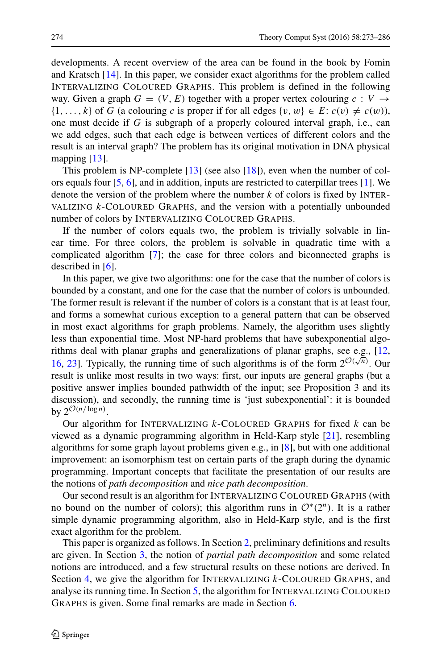developments. A recent overview of the area can be found in the book by Fomin and Kratsch [\[14\]](#page-13-0). In this paper, we consider exact algorithms for the problem called INTERVALIZING COLOURED GRAPHS. This problem is defined in the following way. Given a graph  $G = (V, E)$  together with a proper vertex colouring  $c : V \rightarrow$  $\{1, \ldots, k\}$  of *G* (a colouring *c* is proper if for all edges  $\{v, w\} \in E$ :  $c(v) \neq c(w)$ ), one must decide if *G* is subgraph of a properly coloured interval graph, i.e., can we add edges, such that each edge is between vertices of different colors and the result is an interval graph? The problem has its original motivation in DNA physical mapping [\[13\]](#page-13-1).

This problem is NP-complete [\[13\]](#page-13-1) (see also [\[18\]](#page-13-2)), even when the number of colors equals four [\[5,](#page-12-0) [6\]](#page-13-3), and in addition, inputs are restricted to caterpillar trees [\[1\]](#page-12-1). We denote the version of the problem where the number *k* of colors is fixed by INTER-VALIZING *k*-COLOURED GRAPHS, and the version with a potentially unbounded number of colors by INTERVALIZING COLOURED GRAPHS.

If the number of colors equals two, the problem is trivially solvable in linear time. For three colors, the problem is solvable in quadratic time with a complicated algorithm [\[7\]](#page-13-4); the case for three colors and biconnected graphs is described in  $[6]$ .

In this paper, we give two algorithms: one for the case that the number of colors is bounded by a constant, and one for the case that the number of colors is unbounded. The former result is relevant if the number of colors is a constant that is at least four, and forms a somewhat curious exception to a general pattern that can be observed in most exact algorithms for graph problems. Namely, the algorithm uses slightly less than exponential time. Most NP-hard problems that have subexponential algorithms deal with planar graphs and generalizations of planar graphs, see e.g., [\[12,](#page-13-5) [16,](#page-13-6) [23\]](#page-13-7). Typically, the running time of such algorithms is of the form  $2^{\mathcal{O}(\sqrt{n})}$ . Our result is unlike most results in two ways: first, our inputs are general graphs (but a positive answer implies bounded pathwidth of the input; see Proposition 3 and its discussion), and secondly, the running time is 'just subexponential': it is bounded by  $2^{\mathcal{O}(n/\log n)}$ .

Our algorithm for INTERVALIZING *k*-COLOURED GRAPHS for fixed *k* can be viewed as a dynamic programming algorithm in Held-Karp style [\[21\]](#page-13-8), resembling algorithms for some graph layout problems given e.g., in [\[8\]](#page-13-9), but with one additional improvement: an isomorphism test on certain parts of the graph during the dynamic programming. Important concepts that facilitate the presentation of our results are the notions of *path decomposition* and *nice path decomposition*.

Our second result is an algorithm for INTERVALIZING COLOURED GRAPHS (with no bound on the number of colors); this algorithm runs in  $\mathcal{O}^*(2^n)$ . It is a rather simple dynamic programming algorithm, also in Held-Karp style, and is the first exact algorithm for the problem.

This paper is organized as follows. In Section [2,](#page-2-0) preliminary definitions and results are given. In Section [3,](#page-4-0) the notion of *partial path decomposition* and some related notions are introduced, and a few structural results on these notions are derived. In Section [4,](#page-7-0) we give the algorithm for INTERVALIZING *k*-COLOURED GRAPHS, and analyse its running time. In Section [5,](#page-10-0) the algorithm for INTERVALIZING COLOURED GRAPHS is given. Some final remarks are made in Section [6.](#page-11-0)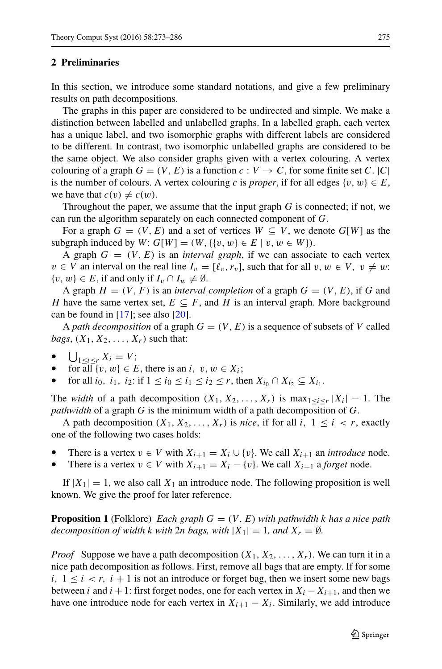### <span id="page-2-0"></span>**2 Preliminaries**

In this section, we introduce some standard notations, and give a few preliminary results on path decompositions.

The graphs in this paper are considered to be undirected and simple. We make a distinction between labelled and unlabelled graphs. In a labelled graph, each vertex has a unique label, and two isomorphic graphs with different labels are considered to be different. In contrast, two isomorphic unlabelled graphs are considered to be the same object. We also consider graphs given with a vertex colouring. A vertex colouring of a graph  $G = (V, E)$  is a function  $c : V \to C$ , for some finite set  $C$ .  $|C|$ is the number of colours. A vertex colouring *c* is *proper*, if for all edges  $\{v, w\} \in E$ , we have that  $c(v) \neq c(w)$ .

Throughout the paper, we assume that the input graph *G* is connected; if not, we can run the algorithm separately on each connected component of *G*.

For a graph  $G = (V, E)$  and a set of vertices  $W \subseteq V$ , we denote  $G[W]$  as the subgraph induced by  $W: G[W] = (W, \{(v, w) \in E \mid v, w \in W\}).$ 

A graph  $G = (V, E)$  is an *interval graph*, if we can associate to each vertex *v* ∈ *V* an interval on the real line  $I_v = [\ell_v, r_v]$ , such that for all  $v, w \in V$ ,  $v \neq w$ : {*v*, *w*} ∈ *E*, if and only if  $I_v ∩ I_w \neq \emptyset$ .

A graph  $H = (V, F)$  is an *interval completion* of a graph  $G = (V, E)$ , if G and *H* have the same vertex set,  $E \subseteq F$ , and *H* is an interval graph. More background can be found in  $[17]$ ; see also  $[20]$ .

A *path decomposition* of a graph  $G = (V, E)$  is a sequence of subsets of V called  $bags, (X_1, X_2, \ldots, X_r)$  such that:

- $\bigcup_{1 \le i \le r} X_i = V;$
- for all  $\{v, w\} \in E$ , there is an *i*,  $v, w \in X_i$ ;
- for all *i*<sub>0</sub>, *i*<sub>1</sub>, *i*<sub>2</sub>: if  $1 \le i_0 \le i_1 \le i_2 \le r$ , then  $X_{i_0} \cap X_{i_2} \subseteq X_{i_1}$ .

The *width* of a path decomposition  $(X_1, X_2, \ldots, X_r)$  is max $\underset{1 \leq i \leq r}{\leq} |X_i| - 1$ . The *pathwidth* of a graph *G* is the minimum width of a path decomposition of *G*.

A path decomposition  $(X_1, X_2, \ldots, X_r)$  is *nice*, if for all *i*,  $1 \leq i \leq r$ , exactly one of the following two cases holds:

- There is a vertex  $v \in V$  with  $X_{i+1} = X_i \cup \{v\}$ . We call  $X_{i+1}$  an *introduce* node.
- There is a vertex  $v \in V$  with  $X_{i+1} = X_i \{v\}$ . We call  $X_{i+1}$  a *forget* node.

If  $|X_1| = 1$ , we also call  $X_1$  an introduce node. The following proposition is well known. We give the proof for later reference.

**Proposition 1** (Folklore) *Each graph*  $G = (V, E)$  *with pathwidth k has a nice path decomposition of width k with* 2*n bags, with*  $|X_1| = 1$ *, and*  $X_r = \emptyset$ *.* 

*Proof* Suppose we have a path decomposition  $(X_1, X_2, \ldots, X_r)$ . We can turn it in a nice path decomposition as follows. First, remove all bags that are empty. If for some *i,*  $1 \le i \le r$ ,  $i + 1$  is not an introduce or forget bag, then we insert some new bags between *i* and *i* + 1: first forget nodes, one for each vertex in  $X_i - X_{i+1}$ , and then we have one introduce node for each vertex in  $X_{i+1} - X_i$ . Similarly, we add introduce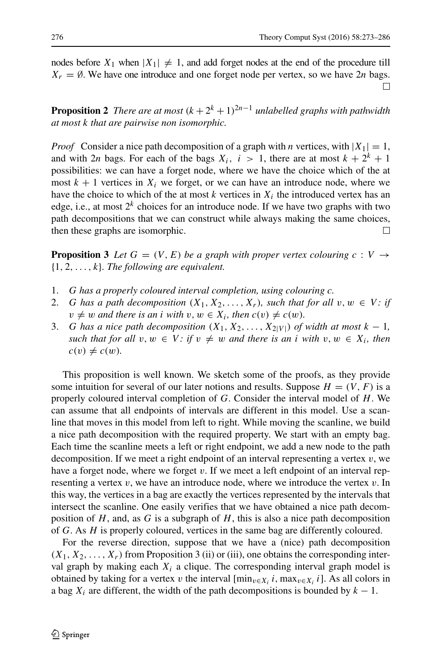nodes before  $X_1$  when  $|X_1| \neq 1$ , and add forget nodes at the end of the procedure till *X<sub>r</sub>* =  $\emptyset$ . We have one introduce and one forget node per vertex, so we have 2*n* bags.

**Proposition 2** *There are at most*  $(k+2^k+1)^{2n-1}$  *unlabelled graphs with pathwidth at most k that are pairwise non isomorphic.*

*Proof* Consider a nice path decomposition of a graph with *n* vertices, with  $|X_1| = 1$ , and with 2*n* bags. For each of the bags  $X_i$ ,  $i > 1$ , there are at most  $k + 2^k + 1$ possibilities: we can have a forget node, where we have the choice which of the at most  $k + 1$  vertices in  $X_i$  we forget, or we can have an introduce node, where we have the choice to which of the at most  $k$  vertices in  $X_i$  the introduced vertex has an edge, i.e., at most  $2^k$  choices for an introduce node. If we have two graphs with two path decompositions that we can construct while always making the same choices, then these graphs are isomorphic.  $\Box$ 

**Proposition 3** Let  $G = (V, E)$  be a graph with proper vertex colouring  $c : V \rightarrow$ {1*,* 2*,...,k*}*. The following are equivalent.*

- 1. *G has a properly coloured interval completion, using colouring c.*
- 2. *G* has a path decomposition  $(X_1, X_2, \ldots, X_r)$ , such that for all  $v, w \in V$ : if  $v \neq w$  *and there is an i with*  $v, w \in X_i$ *, then*  $c(v) \neq c(w)$ *.*
- 3. *G* has a nice path decomposition  $(X_1, X_2, \ldots, X_{2|V|})$  of width at most  $k-1$ , *such that for all*  $v, w \in V$ : if  $v \neq w$  *and there is an i with*  $v, w \in X_i$ *, then*  $c(v) \neq c(w)$ *.*

This proposition is well known. We sketch some of the proofs, as they provide some intuition for several of our later notions and results. Suppose  $H = (V, F)$  is a properly coloured interval completion of *G*. Consider the interval model of *H*. We can assume that all endpoints of intervals are different in this model. Use a scanline that moves in this model from left to right. While moving the scanline, we build a nice path decomposition with the required property. We start with an empty bag. Each time the scanline meets a left or right endpoint, we add a new node to the path decomposition. If we meet a right endpoint of an interval representing a vertex *v*, we have a forget node, where we forget *v*. If we meet a left endpoint of an interval representing a vertex *v*, we have an introduce node, where we introduce the vertex *v*. In this way, the vertices in a bag are exactly the vertices represented by the intervals that intersect the scanline. One easily verifies that we have obtained a nice path decomposition of *H*, and, as *G* is a subgraph of *H*, this is also a nice path decomposition of *G*. As *H* is properly coloured, vertices in the same bag are differently coloured.

For the reverse direction, suppose that we have a (nice) path decomposition  $(X_1, X_2, \ldots, X_r)$  from Proposition 3 (ii) or (iii), one obtains the corresponding interval graph by making each  $X_i$  a clique. The corresponding interval graph model is obtained by taking for a vertex *v* the interval  $[\min_{v \in X_i} i, \max_{v \in X_i} i]$ . As all colors in a bag  $X_i$  are different, the width of the path decompositions is bounded by  $k - 1$ .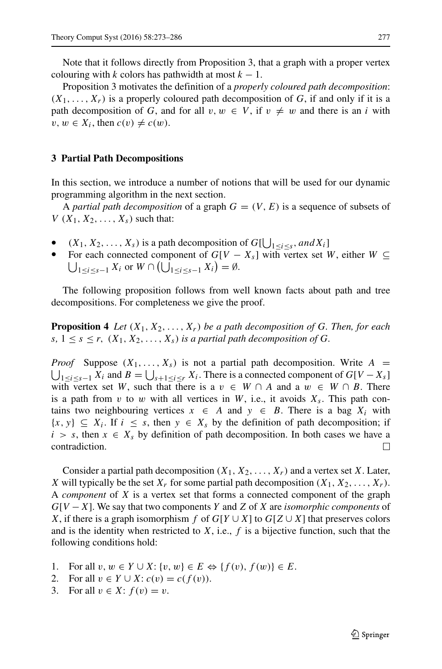Note that it follows directly from Proposition 3, that a graph with a proper vertex colouring with *k* colors has pathwidth at most  $k - 1$ .

Proposition 3 motivates the definition of a *properly coloured path decomposition*:  $(X_1, \ldots, X_r)$  is a properly coloured path decomposition of *G*, if and only if it is a path decomposition of *G*, and for all  $v, w \in V$ , if  $v \neq w$  and there is an *i* with  $v, w \in X_i$ , then  $c(v) \neq c(w)$ .

## <span id="page-4-0"></span>**3 Partial Path Decompositions**

In this section, we introduce a number of notions that will be used for our dynamic programming algorithm in the next section.

A *partial path decomposition* of a graph  $G = (V, E)$  is a sequence of subsets of  $V(X_1, X_2, \ldots, X_s)$  such that:

- $(X_1, X_2, \ldots, X_s)$  is a path decomposition of  $G[\bigcup_{1 \le i \le s}, and X_i]$
- $\bigcup_{1 \leq i \leq s-1} X_i$  or  $W \cap (\bigcup_{1 \leq i \leq s-1} X_i) = \emptyset$ . For each connected component of  $G[V - X_s]$  with vertex set *W*, either  $W \subseteq$

The following proposition follows from well known facts about path and tree decompositions. For completeness we give the proof.

**Proposition 4** Let  $(X_1, X_2, \ldots, X_r)$  be a path decomposition of G. Then, for each  $s, 1 \leq s \leq r$ ,  $(X_1, X_2, \ldots, X_s)$  *is a partial path decomposition of G.* 

*Proof* Suppose  $(X_1, \ldots, X_s)$  is not a partial path decomposition. Write  $A =$  $\bigcup_{1 \leq i \leq s-1} X_i$  and  $B = \bigcup_{s+1 \leq i \leq r} X_i$ . There is a connected component of  $G[V - X_s]$ with vertex set *W*, such that there is a  $v \in W \cap A$  and a  $w \in W \cap B$ . There is a path from  $v$  to  $w$  with all vertices in  $W$ , i.e., it avoids  $X_s$ . This path contains two neighbouring vertices  $x \in A$  and  $y \in B$ . There is a bag  $X_i$  with  $\{x, y\} \subseteq X_i$ . If  $i \leq s$ , then  $y \in X_s$  by the definition of path decomposition; if *i* > *s*, then  $x \in X_s$  by definition of path decomposition. In both cases we have a contradiction. contradiction.

Consider a partial path decomposition  $(X_1, X_2, \ldots, X_r)$  and a vertex set *X*. Later, *X* will typically be the set  $X_r$  for some partial path decomposition  $(X_1, X_2, \ldots, X_r)$ . A *component* of *X* is a vertex set that forms a connected component of the graph *G*[*V* −*X*]. We say that two components *Y* and *Z* of *X* are *isomorphic components* of *X*, if there is a graph isomorphism *f* of  $G[Y \cup X]$  to  $G[Z \cup X]$  that preserves colors and is the identity when restricted to  $X$ , i.e.,  $f$  is a bijective function, such that the following conditions hold:

- 1. For all  $v, w \in Y \cup X$ : { $v, w$ }  $\in E \Leftrightarrow$  { $f(v), f(w)$ }  $\in E$ .<br>2. For all  $v \in Y \cup X$ :  $c(v) = c(f(v))$ .
- 2. For all  $v \in Y \cup X$ :  $c(v) = c(f(v))$ .<br>3. For all  $v \in X$ :  $f(v) = v$ .
- For all  $v \in X$ :  $f(v) = v$ .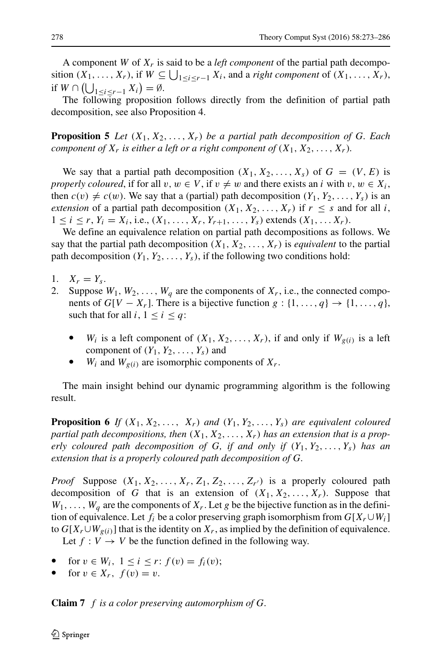A component *W* of *Xr* is said to be a *left component* of the partial path decomposition  $(X_1, \ldots, X_r)$ , if  $W \subseteq \bigcup_{1 \leq i \leq r-1} X_i$ , and a *right component* of  $(X_1, \ldots, X_r)$ , if  $W \cap (\bigcup_{1 \leq i \leq r-1} X_i) = \emptyset$ .

The following proposition follows directly from the definition of partial path decomposition, see also Proposition 4.

**Proposition 5** Let  $(X_1, X_2, \ldots, X_r)$  be a partial path decomposition of G. Each *component of*  $X_r$  *is either a left or a right component of*  $(X_1, X_2, \ldots, X_r)$ *.* 

We say that a partial path decomposition  $(X_1, X_2, \ldots, X_s)$  of  $G = (V, E)$  is *properly coloured*, if for all *v*,  $w \in V$ , if  $v \neq w$  and there exists an *i* with  $v, w \in X_i$ , then  $c(v) \neq c(w)$ . We say that a (partial) path decomposition  $(Y_1, Y_2, \ldots, Y_s)$  is an *extension* of a partial path decomposition  $(X_1, X_2, \ldots, X_r)$  if  $r \leq s$  and for all *i*,  $1 \le i \le r$ ,  $Y_i = X_i$ , i.e.,  $(X_1, \ldots, X_r, Y_{r+1}, \ldots, Y_s)$  extends  $(X_1, \ldots, X_r)$ .

We define an equivalence relation on partial path decompositions as follows. We say that the partial path decomposition  $(X_1, X_2, \ldots, X_r)$  is *equivalent* to the partial path decomposition  $(Y_1, Y_2, \ldots, Y_s)$ , if the following two conditions hold:

- 1.  $X_r = Y_s$ .<br>2. Suppose
- Suppose  $W_1, W_2, \ldots, W_q$  are the components of  $X_r$ , i.e., the connected components of  $G[V - X_r]$ . There is a bijective function  $g: \{1, \ldots, q\} \rightarrow \{1, \ldots, q\}$ , such that for all  $i, 1 \leq i \leq q$ :
	- $W_i$  is a left component of  $(X_1, X_2, \ldots, X_r)$ , if and only if  $W_{g(i)}$  is a left component of  $(Y_1, Y_2, \ldots, Y_s)$  and
	- $W_i$  and  $W_{g(i)}$  are isomorphic components of  $X_r$ .

The main insight behind our dynamic programming algorithm is the following result.

**Proposition 6** If  $(X_1, X_2, \ldots, X_r)$  and  $(Y_1, Y_2, \ldots, Y_s)$  are equivalent coloured *partial path decompositions, then*  $(X_1, X_2, \ldots, X_r)$  *has an extension that is a properly coloured path decomposition of G, if and only if*  $(Y_1, Y_2, \ldots, Y_s)$  *has an extension that is a properly coloured path decomposition of G.*

*Proof* Suppose  $(X_1, X_2, \ldots, X_r, Z_1, Z_2, \ldots, Z_{r'})$  is a properly coloured path decomposition of *G* that is an extension of  $(X_1, X_2, \ldots, X_r)$ . Suppose that  $W_1, \ldots, W_q$  are the components of  $X_r$ . Let *g* be the bijective function as in the definition of equivalence. Let  $f_i$  be a color preserving graph isomorphism from  $G[X_r \cup W_i]$ to  $G[X_r \cup W_{g(i)}]$  that is the identity on  $X_r$ , as implied by the definition of equivalence.

Let  $f: V \to V$  be the function defined in the following way.

- $\text{for } v \in W_i, \ 1 \leq i \leq r: f(v) = f_i(v);$
- for  $v \in X_r$ ,  $f(v) = v$ .

**Claim 7** *f is a color preserving automorphism of G.*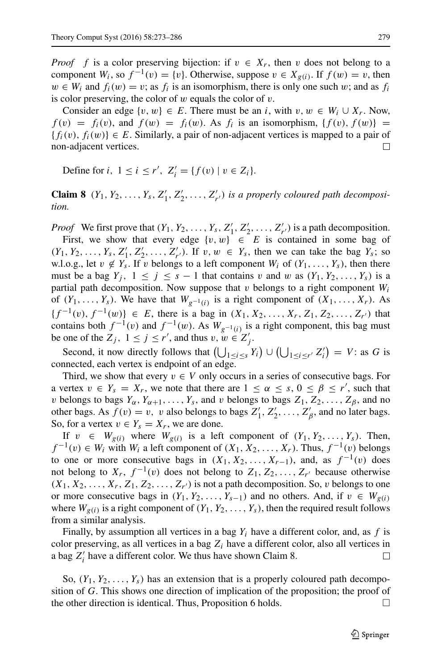*Proof f* is a color preserving bijection: if  $v \in X_r$ , then *v* does not belong to a component *W<sub>i</sub>*, so  $f^{-1}(v) = \{v\}$ . Otherwise, suppose  $v \in X_{g(i)}$ . If  $f(w) = v$ , then  $w \in W_i$  and  $f_i(w) = v$ ; as  $f_i$  is an isomorphism, there is only one such *w*; and as  $f_i$ is color preserving, the color of *w* equals the color of *v*.

Consider an edge  $\{v, w\} \in E$ . There must be an *i*, with  $v, w \in W_i \cup X_r$ . Now,  $f(v) = f_i(v)$ , and  $f(w) = f_i(w)$ . As  $f_i$  is an isomorphism,  $\{f(v), f(w)\} = f_i(w)$  ${f_i(v), f_i(w)} ∈ E$ . Similarly, a pair of non-adjacent vertices is mapped to a pair of non-adjacent vertices. non-adjacent vertices.

Define for *i*,  $1 \le i \le r'$ ,  $Z'_i = \{f(v) \mid v \in Z_i\}.$ 

**Claim 8**  $(Y_1, Y_2, \ldots, Y_s, Z'_1, Z'_2, \ldots, Z'_{r'})$  *is a properly coloured path decomposition.*

*Proof* We first prove that  $(Y_1, Y_2, \ldots, Y_s, Z'_1, Z'_2, \ldots, Z'_{r'})$  is a path decomposition. First, we show that every edge  $\{v, w\} \in E$  is contained in some bag of  $(Y_1, Y_2, \ldots, Y_s, Z'_1, Z'_2, \ldots, Z'_{r'}).$  If  $v, w \in Y_s$ , then we can take the bag  $Y_s$ ; so w.l.o.g., let  $v \notin Y_s$ . If *v* belongs to a left component  $W_i$  of  $(Y_1, \ldots, Y_s)$ , then there must be a bag  $Y_j$ ,  $1 \leq j \leq s - 1$  that contains *v* and *w* as  $(Y_1, Y_2, \ldots, Y_s)$  is a partial path decomposition. Now suppose that  $v$  belongs to a right component  $W_i$ of  $(Y_1, \ldots, Y_s)$ . We have that  $W_{g^{-1}(i)}$  is a right component of  $(X_1, \ldots, X_r)$ . As  ${f^{-1}(v), f^{-1}(w)} \in E$ , there is a bag in  $(X_1, X_2, \ldots, X_r, Z_1, Z_2, \ldots, Z_{r'})$  that contains both  $f^{-1}(v)$  and  $f^{-1}(w)$ . As  $W_{g^{-1}(i)}$  is a right component, this bag must be one of the  $Z_j$ ,  $1 \le j \le r'$ , and thus  $v, w \in Z'_j$ .

Second, it now directly follows that  $\left(\bigcup_{1 \leq i \leq s} Y_i\right) \cup \left(\bigcup_{1 \leq i \leq r'} Z'_i\right) = V$ : as *G* is connected, each vertex is endpoint of an edge.

Third, we show that every  $v \in V$  only occurs in a series of consecutive bags. For a vertex  $v \in Y_s = X_r$ , we note that there are  $1 \leq \alpha \leq s, 0 \leq \beta \leq r'$ , such that *v* belongs to bags  $Y_\alpha, Y_{\alpha+1}, \ldots, Y_s$ , and *v* belongs to bags  $Z_1, Z_2, \ldots, Z_\beta$ , and no other bags. As  $f(v) = v$ , *v* also belongs to bags  $Z'_1, Z'_2, \ldots, Z'_\beta$ , and no later bags. So, for a vertex  $v \in Y_s = X_r$ , we are done.

If  $v \in W_{g(i)}$  where  $W_{g(i)}$  is a left component of  $(Y_1, Y_2, \ldots, Y_s)$ . Then, *f*  $^{-1}(v)$  ∈ *W<sub>i</sub>* with *W<sub>i</sub>* a left component of  $(X_1, X_2, ..., X_r)$ . Thus,  $f^{-1}(v)$  belongs to one or more consecutive bags in  $(X_1, X_2, \ldots, X_{r-1})$ , and, as  $f^{-1}(v)$  does not belong to  $X_r$ ,  $f^{-1}(v)$  does not belong to  $Z_1, Z_2, \ldots, Z_{r'}$  because otherwise  $(X_1, X_2, \ldots, X_r, Z_1, Z_2, \ldots, Z_{r'})$  is not a path decomposition. So, *v* belongs to one or more consecutive bags in  $(Y_1, Y_2, \ldots, Y_{s-1})$  and no others. And, if  $v \in W_{g(i)}$ where  $W_{g(i)}$  is a right component of  $(Y_1, Y_2, \ldots, Y_s)$ , then the required result follows from a similar analysis.

Finally, by assumption all vertices in a bag *Yi* have a different color, and, as *f* is color preserving, as all vertices in a bag  $Z_i$  have a different color, also all vertices in a bag  $Z_i'$  have a different color. We thus have shown Claim 8.  $\Box$ 

So,  $(Y_1, Y_2, \ldots, Y_s)$  has an extension that is a properly coloured path decomposition of *G*. This shows one direction of implication of the proposition; the proof of the other direction is identical. Thus, Proposition 6 holds.  $\Box$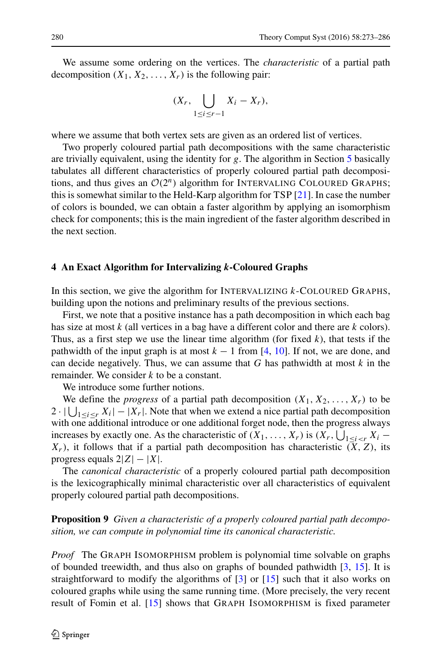We assume some ordering on the vertices. The *characteristic* of a partial path decomposition  $(X_1, X_2, \ldots, X_r)$  is the following pair:

$$
(X_r,\bigcup_{1\leq i\leq r-1}X_i-X_r),
$$

where we assume that both vertex sets are given as an ordered list of vertices.

Two properly coloured partial path decompositions with the same characteristic are trivially equivalent, using the identity for *g*. The algorithm in Section [5](#page-10-0) basically tabulates all different characteristics of properly coloured partial path decompositions, and thus gives an  $\mathcal{O}(2^n)$  algorithm for INTERVALING COLOURED GRAPHS; this is somewhat similar to the Held-Karp algorithm for TSP [\[21\]](#page-13-8). In case the number of colors is bounded, we can obtain a faster algorithm by applying an isomorphism check for components; this is the main ingredient of the faster algorithm described in the next section.

#### <span id="page-7-0"></span>**4 An Exact Algorithm for Intervalizing** *k***-Coloured Graphs**

In this section, we give the algorithm for INTERVALIZING *k*-COLOURED GRAPHS, building upon the notions and preliminary results of the previous sections.

First, we note that a positive instance has a path decomposition in which each bag has size at most *k* (all vertices in a bag have a different color and there are *k* colors). Thus, as a first step we use the linear time algorithm (for fixed *k*), that tests if the pathwidth of the input graph is at most  $k - 1$  from [\[4,](#page-12-2) [10\]](#page-13-12). If not, we are done, and can decide negatively. Thus, we can assume that *G* has pathwidth at most *k* in the remainder. We consider *k* to be a constant.

We introduce some further notions.

We define the *progress* of a partial path decomposition  $(X_1, X_2, \ldots, X_r)$  to be  $2 \cdot |\bigcup_{1 \leq i \leq r} X_i| - |X_r|$ . Note that when we extend a nice partial path decomposition with one additional introduce or one additional forget node, then the progress always increases by exactly one. As the characteristic of  $(X_1, \ldots, X_r)$  is  $(X_r, \bigcup_{1 \leq i \leq r} X_i X_r$ ), it follows that if a partial path decomposition has characteristic  $(X, Z)$ , its progress equals 2|*Z*|−|*X*|.

The *canonical characteristic* of a properly coloured partial path decomposition is the lexicographically minimal characteristic over all characteristics of equivalent properly coloured partial path decompositions.

**Proposition 9** *Given a characteristic of a properly coloured partial path decomposition, we can compute in polynomial time its canonical characteristic.*

*Proof* The GRAPH ISOMORPHISM problem is polynomial time solvable on graphs of bounded treewidth, and thus also on graphs of bounded pathwidth [\[3,](#page-12-3) [15\]](#page-13-13). It is straightforward to modify the algorithms of [\[3\]](#page-12-3) or [\[15\]](#page-13-13) such that it also works on coloured graphs while using the same running time. (More precisely, the very recent result of Fomin et al. [\[15\]](#page-13-13) shows that GRAPH ISOMORPHISM is fixed parameter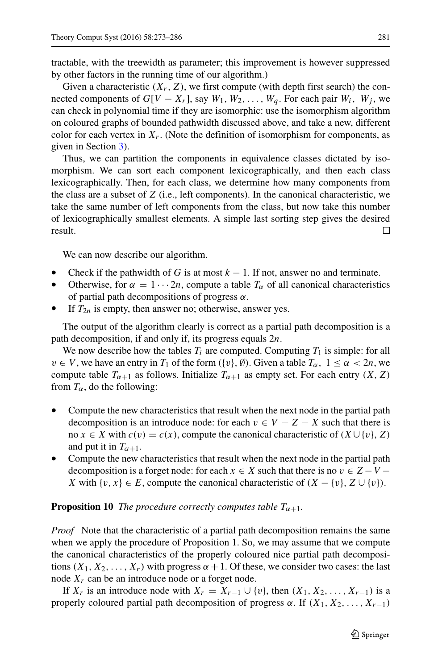tractable, with the treewidth as parameter; this improvement is however suppressed by other factors in the running time of our algorithm.)

Given a characteristic  $(X_r, Z)$ , we first compute (with depth first search) the connected components of  $G[V - X_r]$ , say  $W_1, W_2, \ldots, W_a$ . For each pair  $W_i$ ,  $W_j$ , we can check in polynomial time if they are isomorphic: use the isomorphism algorithm on coloured graphs of bounded pathwidth discussed above, and take a new, different color for each vertex in  $X_r$ . (Note the definition of isomorphism for components, as given in Section [3\)](#page-4-0).

Thus, we can partition the components in equivalence classes dictated by isomorphism. We can sort each component lexicographically, and then each class lexicographically. Then, for each class, we determine how many components from the class are a subset of *Z* (i.e., left components). In the canonical characteristic, we take the same number of left components from the class, but now take this number of lexicographically smallest elements. A simple last sorting step gives the desired result.  $\Box$ 

We can now describe our algorithm.

- Check if the pathwidth of *G* is at most  $k 1$ . If not, answer no and terminate.
- Otherwise, for  $\alpha = 1 \cdots 2n$ , compute a table  $T_{\alpha}$  of all canonical characteristics of partial path decompositions of progress *α*.
- If  $T_{2n}$  is empty, then answer no; otherwise, answer yes.

The output of the algorithm clearly is correct as a partial path decomposition is a path decomposition, if and only if, its progress equals 2*n*.

We now describe how the tables  $T_i$  are computed. Computing  $T_1$  is simple: for all  $v \in V$ , we have an entry in  $T_1$  of the form  $({v}, \emptyset)$ . Given a table  $T_\alpha$ ,  $1 \leq \alpha < 2n$ , we compute table  $T_{\alpha+1}$  as follows. Initialize  $T_{\alpha+1}$  as empty set. For each entry  $(X, Z)$ from  $T_\alpha$ , do the following:

- Compute the new characteristics that result when the next node in the partial path decomposition is an introduce node: for each  $v \in V - Z - X$  such that there is no *x* ∈ *X* with  $c(v) = c(x)$ , compute the canonical characteristic of  $(X \cup \{v\}, Z)$ and put it in  $T_{\alpha+1}$ .
- Compute the new characteristics that result when the next node in the partial path decomposition is a forget node: for each  $x \in X$  such that there is no  $v \in Z - V -$ *X* with  $\{v, x\}$  ∈ *E*, compute the canonical characteristic of  $(X - \{v\}, Z \cup \{v\})$ .

## **Proposition 10** *The procedure correctly computes table*  $T_{\alpha+1}$ *.*

*Proof* Note that the characteristic of a partial path decomposition remains the same when we apply the procedure of Proposition 1. So, we may assume that we compute the canonical characteristics of the properly coloured nice partial path decompositions  $(X_1, X_2, \ldots, X_r)$  with progress  $\alpha + 1$ . Of these, we consider two cases: the last node  $X_r$  can be an introduce node or a forget node.

If  $X_r$  is an introduce node with  $X_r = X_{r-1} \cup \{v\}$ , then  $(X_1, X_2, \ldots, X_{r-1})$  is a properly coloured partial path decomposition of progress  $\alpha$ . If  $(X_1, X_2, \ldots, X_{r-1})$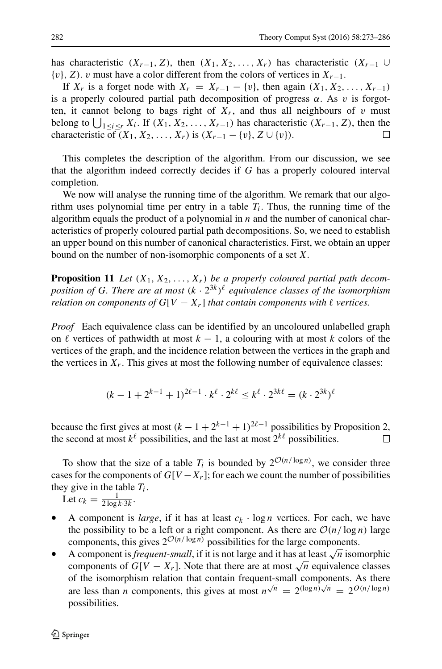has characteristic  $(X_{r-1}, Z)$ , then  $(X_1, X_2, \ldots, X_r)$  has characteristic  $(X_{r-1} \cup$ {*v*}*,Z)*. *v* must have a color different from the colors of vertices in *Xr*−1.

If  $X_r$  is a forget node with  $X_r = X_{r-1} - \{v\}$ , then again  $(X_1, X_2, \ldots, X_{r-1})$ is a properly coloured partial path decomposition of progress  $\alpha$ . As  $\nu$  is forgotten, it cannot belong to bags right of  $X_r$ , and thus all neighbours of  $v$  must belong to  $\bigcup_{1 \leq i \leq r} X_i$ . If  $(X_1, X_2, \ldots, X_{r-1})$  has characteristic  $(X_{r-1}, Z)$ , then the characteristic of  $(X_1, X_2, \ldots, X_r)$  is  $(X_{r-1} - \{v\}, Z \cup \{v\})$ .

This completes the description of the algorithm. From our discussion, we see that the algorithm indeed correctly decides if *G* has a properly coloured interval completion.

We now will analyse the running time of the algorithm. We remark that our algorithm uses polynomial time per entry in a table  $T_i$ . Thus, the running time of the algorithm equals the product of a polynomial in *n* and the number of canonical characteristics of properly coloured partial path decompositions. So, we need to establish an upper bound on this number of canonical characteristics. First, we obtain an upper bound on the number of non-isomorphic components of a set *X*.

**Proposition 11** Let  $(X_1, X_2, \ldots, X_r)$  be a properly coloured partial path decom*position of <sup>G</sup>. There are at most (k* · <sup>2</sup><sup>3</sup>*k)- equivalence classes of the isomorphism relation on components of*  $G[V - X_r]$  *that contain components with*  $\ell$  vertices.

*Proof* Each equivalence class can be identified by an uncoloured unlabelled graph on  $\ell$  vertices of pathwidth at most  $k - 1$ , a colouring with at most  $k$  colors of the vertices of the graph, and the incidence relation between the vertices in the graph and the vertices in  $X_r$ . This gives at most the following number of equivalence classes:

$$
(k - 1 + 2^{k-1} + 1)^{2\ell - 1} \cdot k^{\ell} \cdot 2^{k\ell} \le k^{\ell} \cdot 2^{3k\ell} = (k \cdot 2^{3k})^{\ell}
$$

because the first gives at most  $(k - 1 + 2^{k-1} + 1)^{2\ell-1}$  possibilities by Proposition 2, the second at most  $k^{\ell}$  possibilities, and the last at most  $2^{k\ell}$  possibilities.

To show that the size of a table  $T_i$  is bounded by  $2^{\mathcal{O}(n/\log n)}$ , we consider three cases for the components of  $G[V - X_r]$ ; for each we count the number of possibilities they give in the table  $T_i$ .

Let  $c_k = \frac{1}{2 \log k \cdot 3k}$ .

- A component is *large*, if it has at least  $c_k \cdot \log n$  vertices. For each, we have the possibility to be a left or a right component. As there are  $O(n/\log n)$  large components, this gives  $2^{\mathcal{O}(n/\log n)}$  possibilities for the large components.
- A component is *frequent-small*, if it is not large and it has at least  $\sqrt{n}$  isomorphic components of  $G[V - X_r]$ . Note that there are at most  $\sqrt{n}$  equivalence classes of the isomorphism relation that contain frequent-small components. As there are less than *n* components, this gives at most  $n^{\sqrt{n}} = 2^{(\log n)\sqrt{n}} = 2^{O(n/\log n)}$ possibilities.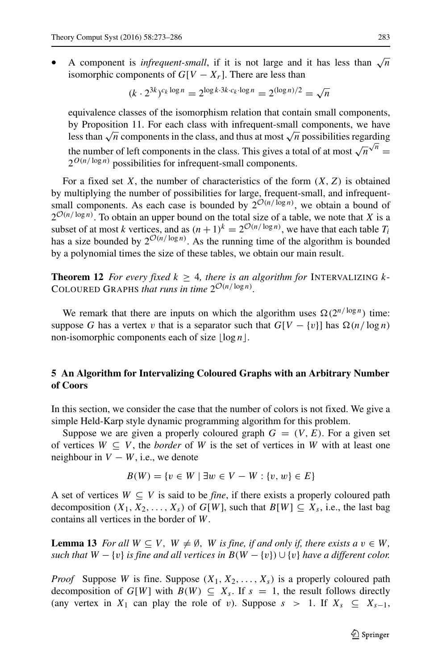A component is *infrequent-small*, if it is not large and it has less than  $\sqrt{n}$ isomorphic components of  $G[V - X_r]$ . There are less than

$$
(k \cdot 2^{3k})^{c_k \log n} = 2^{\log k \cdot 3k \cdot c_k \cdot \log n} = 2^{(\log n)/2} = \sqrt{n}
$$

equivalence classes of the isomorphism relation that contain small components, by Proposition 11. For each class with infrequent-small components, we have less than  $\sqrt{n}$  components in the class, and thus at most  $\sqrt{n}$  possibilities regarding the number of left components in the class. This gives a total of at most  $\sqrt{n} \sqrt{n}$  =  $2^{O(n/\log n)}$  possibilities for infrequent-small components.

For a fixed set  $X$ , the number of characteristics of the form  $(X, Z)$  is obtained by multiplying the number of possibilities for large, frequent-small, and infrequentsmall components. As each case is bounded by  $2^{\mathcal{O}(n/\log n)}$ , we obtain a bound of  $2^{\mathcal{O}(n/\log n)}$ . To obtain an upper bound on the total size of a table, we note that *X* is a subset of at most *k* vertices, and as  $(n + 1)^k = 2^{\mathcal{O}(n/\log n)}$ , we have that each table  $T_i$ has a size bounded by  $2^{\mathcal{O}(n/\log n)}$ . As the running time of the algorithm is bounded by a polynomial times the size of these tables, we obtain our main result.

**Theorem 12** *For every fixed*  $k \geq 4$ *, there is an algorithm for* INTERVALIZING  $k$ -COLOURED GRAPHS *that runs in time*  $2^{\mathcal{O}(n/\log n)}$ *.* 

We remark that there are inputs on which the algorithm uses  $\Omega(2^{n/\log n})$  time: suppose *G* has a vertex *v* that is a separator such that  $G[V - \{v\}]$  has  $\Omega(n/\log n)$ non-isomorphic components each of size  $|\log n|$ .

# <span id="page-10-0"></span>**5 An Algorithm for Intervalizing Coloured Graphs with an Arbitrary Number of Coors**

In this section, we consider the case that the number of colors is not fixed. We give a simple Held-Karp style dynamic programming algorithm for this problem.

Suppose we are given a properly coloured graph  $G = (V, E)$ . For a given set of vertices  $W \subseteq V$ , the *border* of W is the set of vertices in W with at least one neighbour in  $V - W$ , i.e., we denote

$$
B(W) = \{v \in W \mid \exists w \in V - W : \{v, w\} \in E\}
$$

A set of vertices  $W \subseteq V$  is said to be *fine*, if there exists a properly coloured path decomposition  $(X_1, X_2, \ldots, X_s)$  of  $G[W]$ , such that  $B[W] \subseteq X_s$ , i.e., the last bag contains all vertices in the border of *W*.

**Lemma 13** *For all*  $W \subseteq V$ *,*  $W \neq \emptyset$ *, W is fine, if and only if, there exists a*  $v \in W$ *, such that*  $W - \{v\}$  *is fine and all vertices in*  $B(W - \{v\}) \cup \{v\}$  *have a different color.* 

*Proof* Suppose *W* is fine. Suppose  $(X_1, X_2, \ldots, X_s)$  is a properly coloured path decomposition of  $G[W]$  with  $B(W) \subseteq X_s$ . If  $s = 1$ , the result follows directly (any vertex in  $X_1$  can play the role of *v*). Suppose  $s > 1$ . If  $X_s \subseteq X_{s-1}$ ,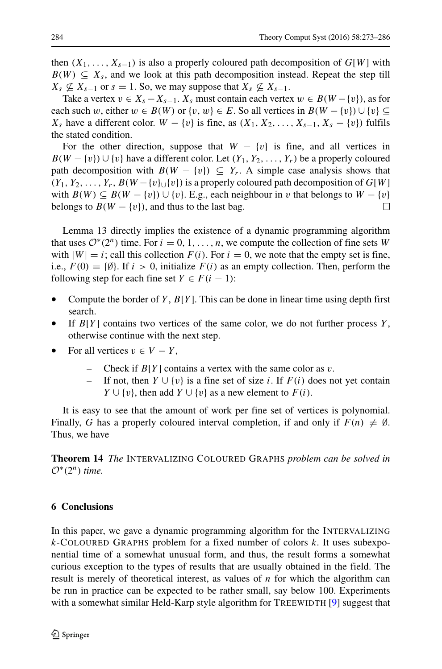then  $(X_1, \ldots, X_{s-1})$  is also a properly coloured path decomposition of  $G[W]$  with  $B(W) \subseteq X_s$ , and we look at this path decomposition instead. Repeat the step till  $X_s \nsubseteq X_{s-1}$  or  $s = 1$ . So, we may suppose that  $X_s \nsubseteq X_{s-1}$ .

Take a vertex  $v \in X_s - X_{s-1}$ .  $X_s$  must contain each vertex  $w \in B(W - \{v\})$ , as for each such *w*, either  $w \in B(W)$  or  $\{v, w\} \in E$ . So all vertices in  $B(W - \{v\}) \cup \{v\} \subseteq E$ *X<sub>s</sub>* have a different color. *W* − {*v*} is fine, as  $(X_1, X_2, \ldots, X_{s-1}, X_s - \{v\})$  fulfils the stated condition.

For the other direction, suppose that  $W - \{v\}$  is fine, and all vertices in  $B(W - \{v\}) \cup \{v\}$  have a different color. Let  $(Y_1, Y_2, \ldots, Y_r)$  be a properly coloured path decomposition with  $B(W - \{v\}) \subseteq Y_r$ . A simple case analysis shows that  $(Y_1, Y_2, \ldots, Y_r, B(W - \{v\} \cup \{v\})$  is a properly coloured path decomposition of  $G[W]$ with  $B(W) \subseteq B(W - \{v\}) \cup \{v\}$ . E.g., each neighbour in *v* that belongs to  $W - \{v\}$ <br>belongs to  $B(W - \{v\})$  and thus to the last bag belongs to  $B(W - \{v\})$ , and thus to the last bag.

Lemma 13 directly implies the existence of a dynamic programming algorithm that uses  $\mathcal{O}^*(2^n)$  time. For  $i = 0, 1, \ldots, n$ , we compute the collection of fine sets *W* with  $|W| = i$ ; call this collection  $F(i)$ . For  $i = 0$ , we note that the empty set is fine, i.e.,  $F(0) = \{\emptyset\}$ . If  $i > 0$ , initialize  $F(i)$  as an empty collection. Then, perform the following step for each fine set  $Y \in F(i-1)$ :

- Compute the border of *Y* , *B*[*Y* ]. This can be done in linear time using depth first search.
- If  $B[Y]$  contains two vertices of the same color, we do not further process  $Y$ , otherwise continue with the next step.
- For all vertices  $v \in V Y$ ,
	- Check if  $B[Y]$  contains a vertex with the same color as *v*.<br>– If not, then  $Y \cup \{v\}$  is a fine set of size *i*. If  $F(i)$  does no
	- If not, then  $Y \cup \{v\}$  is a fine set of size *i*. If  $F(i)$  does not yet contain *Y* ∪ {*v*}, then add *Y* ∪ {*v*} as a new element to *F* (*i*).

It is easy to see that the amount of work per fine set of vertices is polynomial. Finally, *G* has a properly coloured interval completion, if and only if  $F(n) \neq \emptyset$ . Thus, we have

**Theorem 14** *The* INTERVALIZING COLOURED GRAPHS *problem can be solved in*  $\mathcal{O}^*(2^n)$  *time.* 

## <span id="page-11-0"></span>**6 Conclusions**

In this paper, we gave a dynamic programming algorithm for the INTERVALIZING *k*-COLOURED GRAPHS problem for a fixed number of colors *k*. It uses subexponential time of a somewhat unusual form, and thus, the result forms a somewhat curious exception to the types of results that are usually obtained in the field. The result is merely of theoretical interest, as values of *n* for which the algorithm can be run in practice can be expected to be rather small, say below 100. Experiments with a somewhat similar Held-Karp style algorithm for TREEWIDTH [\[9\]](#page-13-14) suggest that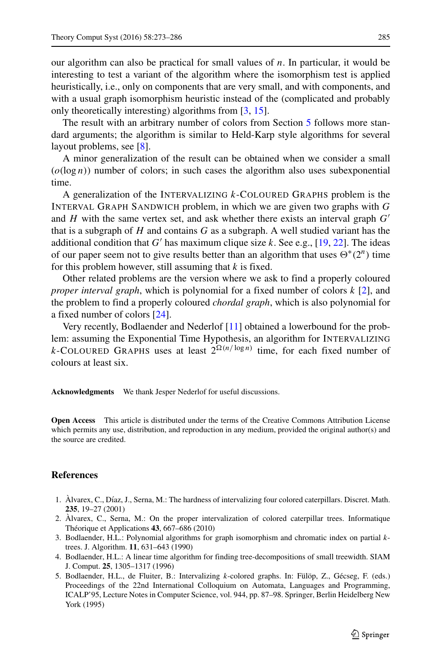our algorithm can also be practical for small values of *n*. In particular, it would be interesting to test a variant of the algorithm where the isomorphism test is applied heuristically, i.e., only on components that are very small, and with components, and with a usual graph isomorphism heuristic instead of the (complicated and probably only theoretically interesting) algorithms from [\[3,](#page-12-3) [15\]](#page-13-13).

The result with an arbitrary number of colors from Section [5](#page-10-0) follows more standard arguments; the algorithm is similar to Held-Karp style algorithms for several layout problems, see [\[8\]](#page-13-9).

A minor generalization of the result can be obtained when we consider a small  $(o(\log n))$  number of colors; in such cases the algorithm also uses subexponential time.

A generalization of the INTERVALIZING *k*-COLOURED GRAPHS problem is the INTERVAL GRAPH SANDWICH problem, in which we are given two graphs with *G* and *H* with the same vertex set, and ask whether there exists an interval graph *G* that is a subgraph of *H* and contains *G* as a subgraph. A well studied variant has the additional condition that  $G'$  has maximum clique size  $k$ . See e.g., [\[19,](#page-13-15) [22\]](#page-13-16). The ideas of our paper seem not to give results better than an algorithm that uses  $\Theta^*(2^n)$  time for this problem however, still assuming that *k* is fixed.

Other related problems are the version where we ask to find a properly coloured *proper interval graph*, which is polynomial for a fixed number of colors *k* [\[2\]](#page-12-4), and the problem to find a properly coloured *chordal graph*, which is also polynomial for a fixed number of colors [\[24\]](#page-13-17).

Very recently, Bodlaender and Nederlof [\[11\]](#page-13-18) obtained a lowerbound for the problem: assuming the Exponential Time Hypothesis, an algorithm for INTERVALIZING *k*-COLOURED GRAPHS uses at least  $2^{\Omega(n/\log n)}$  time, for each fixed number of colours at least six.

**Acknowledgments** We thank Jesper Nederlof for useful discussions.

**Open Access** This article is distributed under the terms of the Creative Commons Attribution License which permits any use, distribution, and reproduction in any medium, provided the original author(s) and the source are credited.

## **References**

- <span id="page-12-1"></span>1. Alvarex, C., Díaz, J., Serna, M.: The hardness of intervalizing four colored caterpillars. Discret. Math. **235**, 19–27 (2001)
- <span id="page-12-4"></span>2. Alvarex, C., Serna, M.: On the proper intervalization of colored caterpillar trees. Informatique ` Théorique et Applications  $43, 667-686$  (2010)
- <span id="page-12-3"></span>3. Bodlaender, H.L.: Polynomial algorithms for graph isomorphism and chromatic index on partial *k*trees. J. Algorithm. **11**, 631–643 (1990)
- <span id="page-12-2"></span>4. Bodlaender, H.L.: A linear time algorithm for finding tree-decompositions of small treewidth. SIAM J. Comput. **25**, 1305–1317 (1996)
- <span id="page-12-0"></span>5. Bodlaender, H.L., de Fluiter, B.: Intervalizing *k*-colored graphs. In: Fülöp, Z., Gécseg, F. (eds.) Proceedings of the 22nd International Colloquium on Automata, Languages and Programming, ICALP'95, Lecture Notes in Computer Science, vol. 944, pp. 87–98. Springer, Berlin Heidelberg New York (1995)